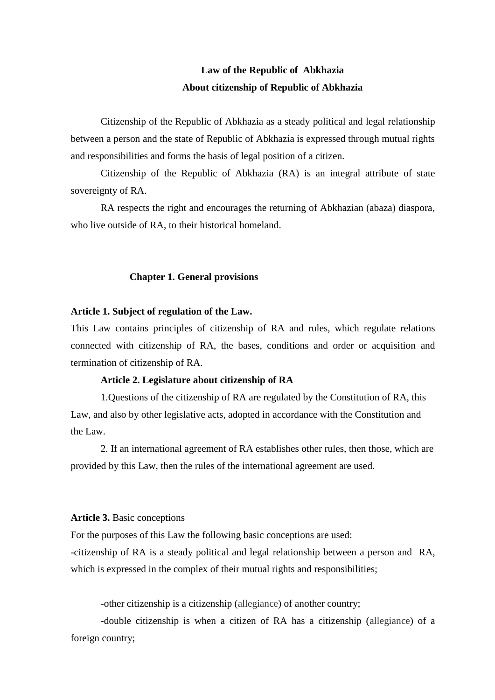### **Law of the Republic of Abkhazia About citizenship of Republic of Abkhazia**

Citizenship of the Republic of Abkhazia as a steady political and legal relationship between a person and the state of Republic of Abkhazia is expressed through mutual rights and responsibilities and forms the basis of legal position of a citizen.

Citizenship of the Republic of Abkhazia (RA) is an integral attribute of state sovereignty of RA.

RA respects the right and encourages the returning of Abkhazian (abaza) diaspora, who live outside of RA, to their historical homeland.

#### **Chapter 1. General provisions**

#### **Article 1. Subject of regulation of the Law.**

This Law contains principles of citizenship of RA and rules, which regulate relations connected with citizenship of RA, the bases, conditions and order or acquisition and termination of citizenship of RA.

### **Article 2. Legislature about citizenship of RA**

1.Questions of the citizenship of RA are regulated by the Constitution of RA, this Law, and also by other legislative acts, adopted in accordance with the Constitution and the Law.

2. If an international agreement of RA establishes other rules, then those, which are provided by this Law, then the rules of the international agreement are used.

### **Article 3.** Basic conceptions

For the purposes of this Law the following basic conceptions are used:

-citizenship of RA is a steady political and legal relationship between a person and RA, which is expressed in the complex of their mutual rights and responsibilities;

-other citizenship is a citizenship (allegiance) of another country;

-double citizenship is when a citizen of RA has a citizenship (allegiance) of a foreign country;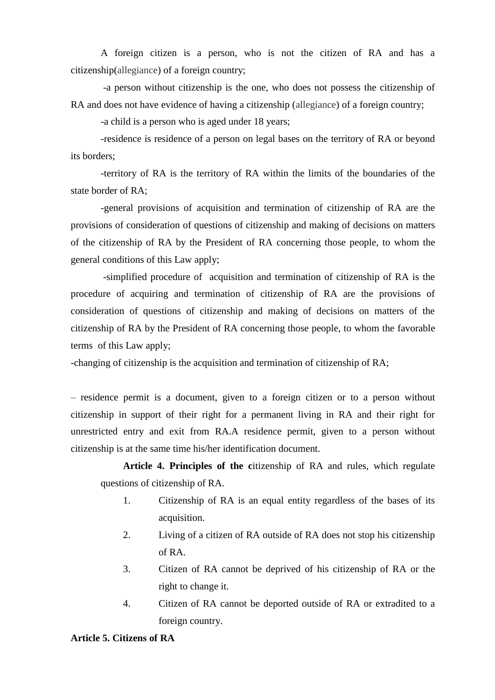A foreign citizen is a person, who is not the citizen of RA and has a citizenship(allegiance) of a foreign country;

-a person without citizenship is the one, who does not possess the citizenship of RA and does not have evidence of having a citizenship (allegiance) of a foreign country;

-a child is a person who is aged under 18 years;

-residence is residence of a person on legal bases on the territory of RA or beyond its borders;

-territory of RA is the territory of RA within the limits of the boundaries of the state border of RA;

-general provisions of acquisition and termination of citizenship of RA are the provisions of consideration of questions of citizenship and making of decisions on matters of the citizenship of RA by the President of RA concerning those people, to whom the general conditions of this Law apply;

-simplified procedure of acquisition and termination of citizenship of RA is the procedure of acquiring and termination of citizenship of RA are the provisions of consideration of questions of citizenship and making of decisions on matters of the citizenship of RA by the President of RA concerning those people, to whom the favorable terms of this Law apply;

-changing of citizenship is the acquisition and termination of citizenship of RA;

– residence permit is a document, given to a foreign citizen or to a person without citizenship in support of their right for a permanent living in RA and their right for unrestricted entry and exit from RA.A residence permit, given to a person without citizenship is at the same time his/her identification document.

**Article 4. Principles of the c**itizenship of RA and rules, which regulate questions of citizenship of RA.

- 1. Citizenship of RA is an equal entity regardless of the bases of its acquisition.
- 2. Living of a citizen of RA outside of RA does not stop his citizenship of RA.
- 3. Citizen of RA cannot be deprived of his citizenship of RA or the right to change it.
- 4. Citizen of RA cannot be deported outside of RA or extradited to a foreign country.

### **Article 5. Citizens of RA**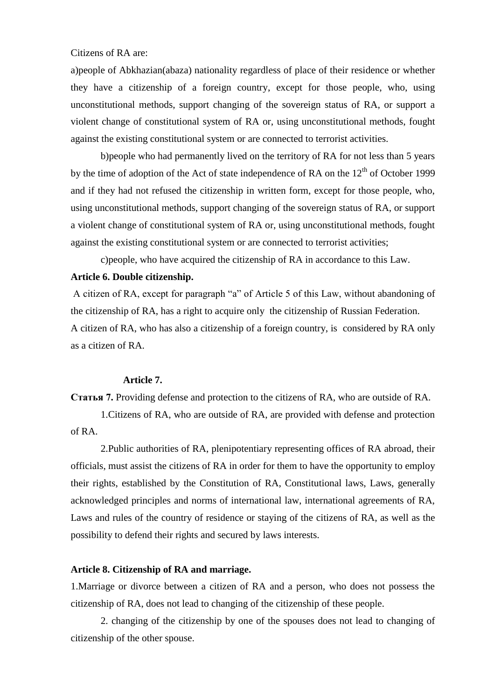Citizens of RA are:

a)people of Abkhazian(abaza) nationality regardless of place of their residence or whether they have a citizenship of a foreign country, except for those people, who, using unconstitutional methods, support changing of the sovereign status of RA, or support a violent change of constitutional system of RA or, using unconstitutional methods, fought against the existing constitutional system or are connected to terrorist activities.

b)people who had permanently lived on the territory of RA for not less than 5 years by the time of adoption of the Act of state independence of RA on the  $12<sup>th</sup>$  of October 1999 and if they had not refused the citizenship in written form, except for those people, who, using unconstitutional methods, support changing of the sovereign status of RA, or support a violent change of constitutional system of RA or, using unconstitutional methods, fought against the existing constitutional system or are connected to terrorist activities;

c)people, who have acquired the citizenship of RA in accordance to this Law.

### **Article 6. Double citizenship.**

A citizen of RA, except for paragraph "a" of Article 5 of this Law, without abandoning of the citizenship of RA, has a right to acquire only the citizenship of Russian Federation. A citizen of RA, who has also a citizenship of a foreign country, is considered by RA only as a citizen of RA.

### **Article 7.**

**Статья 7.** Providing defense and protection to the citizens of RA, who are outside of RA.

1.Citizens of RA, who are outside of RA, are provided with defense and protection of RA.

2.Public authorities of RA, plenipotentiary representing offices of RA abroad, their officials, must assist the citizens of RA in order for them to have the opportunity to employ their rights, established by the Constitution of RA, Constitutional laws, Laws, generally acknowledged principles and norms of international law, international agreements of RA, Laws and rules of the country of residence or staying of the citizens of RA, as well as the possibility to defend their rights and secured by laws interests.

### **Article 8. Citizenship of RA and marriage.**

1.Marriage or divorce between a citizen of RA and a person, who does not possess the citizenship of RA, does not lead to changing of the citizenship of these people.

2. changing of the citizenship by one of the spouses does not lead to changing of citizenship of the other spouse.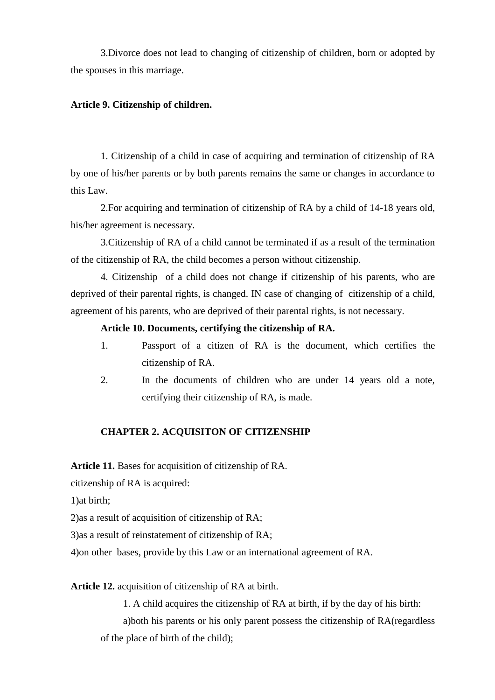3.Divorce does not lead to changing of citizenship of children, born or adopted by the spouses in this marriage.

### **Article 9. Citizenship of children.**

1. Citizenship of a child in case of acquiring and termination of citizenship of RA by one of his/her parents or by both parents remains the same or changes in accordance to this Law.

2.For acquiring and termination of citizenship of RA by a child of 14-18 years old, his/her agreement is necessary.

3.Citizenship of RA of a child cannot be terminated if as a result of the termination of the citizenship of RA, the child becomes a person without citizenship.

4. Citizenship of a child does not change if citizenship of his parents, who are deprived of their parental rights, is changed. IN case of changing of citizenship of a child, agreement of his parents, who are deprived of their parental rights, is not necessary.

### **Article 10. Documents, certifying the citizenship of RA.**

- 1. Passport of a citizen of RA is the document, which certifies the citizenship of RA.
- 2. In the documents of children who are under 14 years old a note, certifying their citizenship of RA, is made.

### **CHAPTER 2. ACQUISITON OF CITIZENSHIP**

**Article 11.** Bases for acquisition of citizenship of RA.

citizenship of RA is acquired:

1)at birth;

2)as a result of acquisition of citizenship of RA;

3)as a result of reinstatement of citizenship of RA;

4)on other bases, provide by this Law or an international agreement of RA.

### **Article 12.** acquisition of citizenship of RA at birth.

1. A child acquires the citizenship of RA at birth, if by the day of his birth:

a)both his parents or his only parent possess the citizenship of RA(regardless of the place of birth of the child);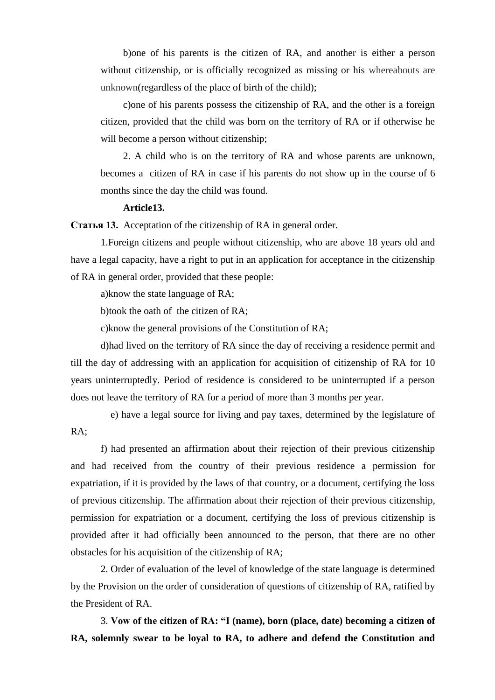b)one of his parents is the citizen of RA, and another is either a person without citizenship, or is officially recognized as missing or his whereabouts are unknown(regardless of the place of birth of the child);

c)one of his parents possess the citizenship of RA, and the other is a foreign citizen, provided that the child was born on the territory of RA or if otherwise he will become a person without citizenship;

2. A child who is on the territory of RA and whose parents are unknown, becomes a citizen of RA in case if his parents do not show up in the course of 6 months since the day the child was found.

#### **Article13.**

**Статья 13.** Acceptation of the citizenship of RA in general order.

1.Foreign citizens and people without citizenship, who are above 18 years old and have a legal capacity, have a right to put in an application for acceptance in the citizenship of RA in general order, provided that these people:

a)know the state language of RA;

b)took the oath of the citizen of RA;

c)know the general provisions of the Constitution of RA;

d)had lived on the territory of RA since the day of receiving a residence permit and till the day of addressing with an application for acquisition of citizenship of RA for 10 years uninterruptedly. Period of residence is considered to be uninterrupted if a person does not leave the territory of RA for a period of more than 3 months per year.

 e) have a legal source for living and pay taxes, determined by the legislature of RA;

f) had presented an affirmation about their rejection of their previous citizenship and had received from the country of their previous residence a permission for expatriation, if it is provided by the laws of that country, or a document, certifying the loss of previous citizenship. The affirmation about their rejection of their previous citizenship, permission for expatriation or a document, certifying the loss of previous citizenship is provided after it had officially been announced to the person, that there are no other obstacles for his acquisition of the citizenship of RA;

2. Order of evaluation of the level of knowledge of the state language is determined by the Provision on the order of consideration of questions of citizenship of RA, ratified by the President of RA.

3. **Vow of the citizen of RA: "I (name), born (place, date) becoming a citizen of RA, solemnly swear to be loyal to RA, to adhere and defend the Constitution and**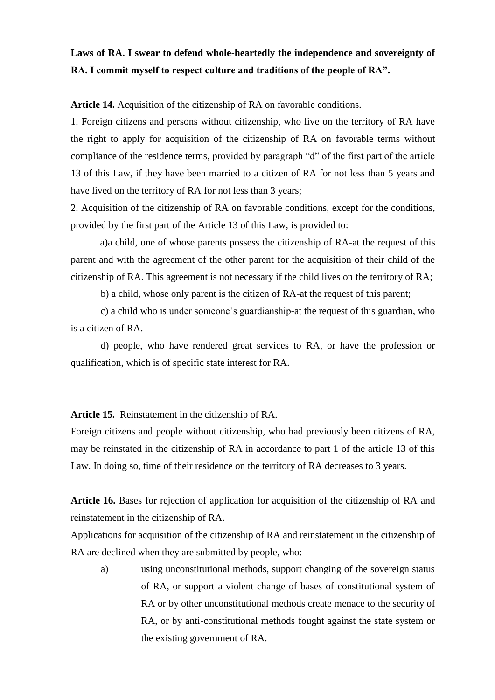### **Laws of RA. I swear to defend whole-heartedly the independence and sovereignty of RA. I commit myself to respect culture and traditions of the people of RA".**

**Article 14.** Acquisition of the citizenship of RA on favorable conditions.

1. Foreign citizens and persons without citizenship, who live on the territory of RA have the right to apply for acquisition of the citizenship of RA on favorable terms without compliance of the residence terms, provided by paragraph "d" of the first part of the article 13 of this Law, if they have been married to a citizen of RA for not less than 5 years and have lived on the territory of RA for not less than 3 years;

2. Acquisition of the citizenship of RA on favorable conditions, except for the conditions, provided by the first part of the Article 13 of this Law, is provided to:

a)a child, one of whose parents possess the citizenship of RA-at the request of this parent and with the agreement of the other parent for the acquisition of their child of the citizenship of RA. This agreement is not necessary if the child lives on the territory of RA;

b) a child, whose only parent is the citizen of RA-at the request of this parent;

c) a child who is under someone's guardianship-at the request of this guardian, who is a citizen of RA.

d) people, who have rendered great services to RA, or have the profession or qualification, which is of specific state interest for RA.

**Article 15.** Reinstatement in the citizenship of RA.

Foreign citizens and people without citizenship, who had previously been citizens of RA, may be reinstated in the citizenship of RA in accordance to part 1 of the article 13 of this Law. In doing so, time of their residence on the territory of RA decreases to 3 years.

**Article 16.** Bases for rejection of application for acquisition of the citizenship of RA and reinstatement in the citizenship of RA.

Applications for acquisition of the citizenship of RA and reinstatement in the citizenship of RA are declined when they are submitted by people, who:

a) using unconstitutional methods, support changing of the sovereign status of RA, or support a violent change of bases of constitutional system of RA or by other unconstitutional methods create menace to the security of RA, or by anti-constitutional methods fought against the state system or the existing government of RA.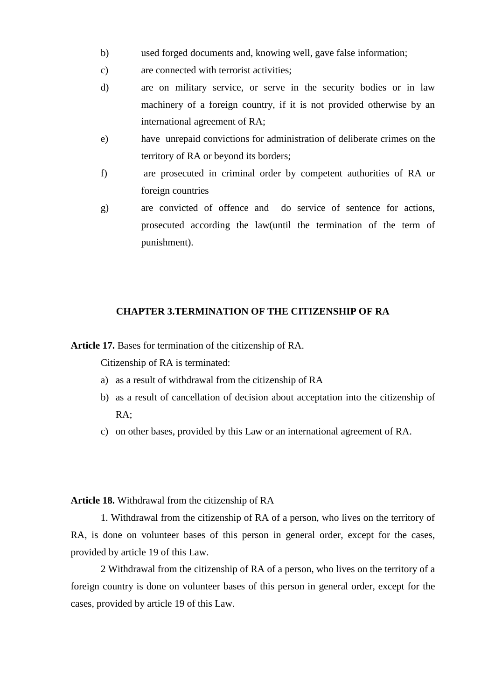- b) used forged documents and, knowing well, gave false information;
- c) are connected with terrorist activities;
- d) are on military service, or serve in the security bodies or in law machinery of a foreign country, if it is not provided otherwise by an international agreement of RA;
- e) have unrepaid convictions for administration of deliberate crimes on the territory of RA or beyond its borders;
- f) are prosecuted in criminal order by competent authorities of RA or foreign countries
- g) are convicted of offence and do service of sentence for actions, prosecuted according the law(until the termination of the term of punishment).

#### **CHAPTER 3.TERMINATION OF THE CITIZENSHIP OF RA**

**Article 17.** Bases for termination of the citizenship of RA.

Citizenship of RA is terminated:

- a) as a result of withdrawal from the citizenship of RA
- b) as a result of cancellation of decision about acceptation into the citizenship of RA;
- c) on other bases, provided by this Law or an international agreement of RA.

### **Article 18.** Withdrawal from the citizenship of RA

1. Withdrawal from the citizenship of RA of a person, who lives on the territory of RA, is done on volunteer bases of this person in general order, except for the cases, provided by article 19 of this Law.

2 Withdrawal from the citizenship of RA of a person, who lives on the territory of a foreign country is done on volunteer bases of this person in general order, except for the cases, provided by article 19 of this Law.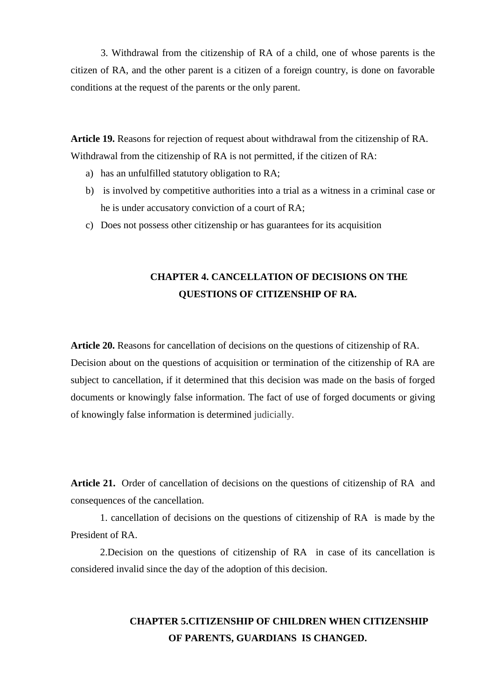3. Withdrawal from the citizenship of RA of a child, one of whose parents is the citizen of RA, and the other parent is a citizen of a foreign country, is done on favorable conditions at the request of the parents or the only parent.

**Article 19.** Reasons for rejection of request about withdrawal from the citizenship of RA. Withdrawal from the citizenship of RA is not permitted, if the citizen of RA:

- a) has an unfulfilled statutory obligation to RA;
- b) is involved by competitive authorities into a trial as a witness in a criminal case or he is under accusatory conviction of a court of RA;
- c) Does not possess other citizenship or has guarantees for its acquisition

### **CHAPTER 4. CANCELLATION OF DECISIONS ON THE QUESTIONS OF CITIZENSHIP OF RA.**

**Article 20.** Reasons for cancellation of decisions on the questions of citizenship of RA. Decision about on the questions of acquisition or termination of the citizenship of RA are subject to cancellation, if it determined that this decision was made on the basis of forged documents or knowingly false information. The fact of use of forged documents or giving of knowingly false information is determined judicially.

**Article 21.** Order of cancellation of decisions on the questions of citizenship of RA and consequences of the cancellation.

1. cancellation of decisions on the questions of citizenship of RA is made by the President of RA

2.Decision on the questions of citizenship of RA in case of its cancellation is considered invalid since the day of the adoption of this decision.

# **CHAPTER 5.CITIZENSHIP OF CHILDREN WHEN CITIZENSHIP OF PARENTS, GUARDIANS IS CHANGED.**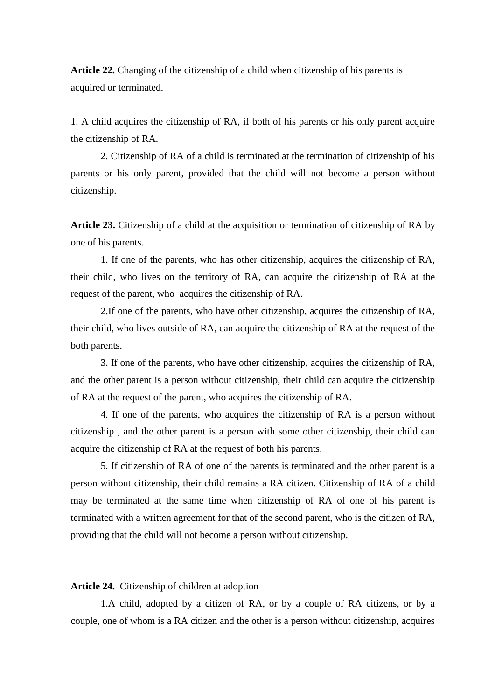**Article 22.** Changing of the citizenship of a child when citizenship of his parents is acquired or terminated.

1. A child acquires the citizenship of RA, if both of his parents or his only parent acquire the citizenship of RA.

2. Citizenship of RA of a child is terminated at the termination of citizenship of his parents or his only parent, provided that the child will not become a person without citizenship.

**Article 23.** Citizenship of a child at the acquisition or termination of citizenship of RA by one of his parents.

1. If one of the parents, who has other citizenship, acquires the citizenship of RA, their child, who lives on the territory of RA, can acquire the citizenship of RA at the request of the parent, who acquires the citizenship of RA.

2.If one of the parents, who have other citizenship, acquires the citizenship of RA, their child, who lives outside of RA, can acquire the citizenship of RA at the request of the both parents.

3. If one of the parents, who have other citizenship, acquires the citizenship of RA, and the other parent is a person without citizenship, their child can acquire the citizenship of RA at the request of the parent, who acquires the citizenship of RA.

4. If one of the parents, who acquires the citizenship of RA is a person without citizenship , and the other parent is a person with some other citizenship, their child can acquire the citizenship of RA at the request of both his parents.

5. If citizenship of RA of one of the parents is terminated and the other parent is a person without citizenship, their child remains a RA citizen. Citizenship of RA of a child may be terminated at the same time when citizenship of RA of one of his parent is terminated with a written agreement for that of the second parent, who is the citizen of RA, providing that the child will not become a person without citizenship.

### **Article 24.** Citizenship of children at adoption

1.A child, adopted by a citizen of RA, or by a couple of RA citizens, or by a couple, one of whom is a RA citizen and the other is a person without citizenship, acquires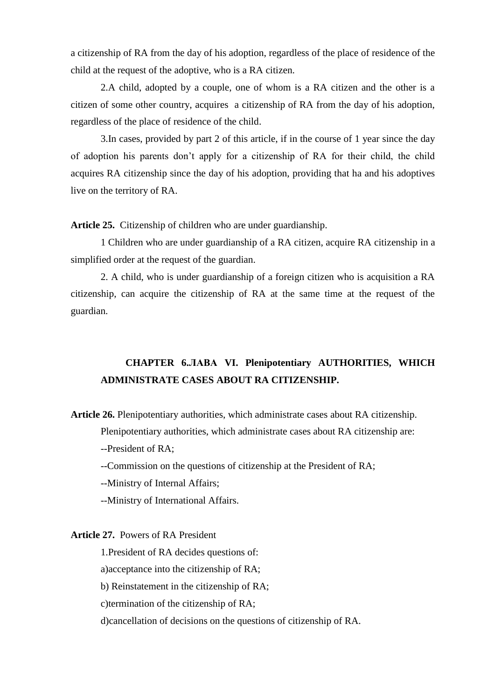a citizenship of RA from the day of his adoption, regardless of the place of residence of the child at the request of the adoptive, who is a RA citizen.

2.A child, adopted by a couple, one of whom is a RA citizen and the other is a citizen of some other country, acquires a citizenship of RA from the day of his adoption, regardless of the place of residence of the child.

3.In cases, provided by part 2 of this article, if in the course of 1 year since the day of adoption his parents don't apply for a citizenship of RA for their child, the child acquires RA citizenship since the day of his adoption, providing that ha and his adoptives live on the territory of RA.

**Article 25.** Citizenship of children who are under guardianship.

1 Children who are under guardianship of a RA citizen, acquire RA citizenship in a simplified order at the request of the guardian.

2. A child, who is under guardianship of a foreign citizen who is acquisition a RA citizenship, can acquire the citizenship of RA at the same time at the request of the guardian.

### **CHAPTER 6.ЛАВА VI. Plenipotentiary AUTHORITIES, WHICH ADMINISTRATE CASES ABOUT RA CITIZENSHIP.**

**Article 26.** Plenipotentiary authorities, which administrate cases about RA citizenship.

Plenipotentiary authorities, which administrate cases about RA citizenship are:

--President of RA;

--Commission on the questions of citizenship at the President of RA;

--Ministry of Internal Affairs;

--Ministry of International Affairs.

### **Article 27.** Powers of RA President

1.President of RA decides questions of:

a)acceptance into the citizenship of RA;

b) Reinstatement in the citizenship of RA;

c)termination of the citizenship of RA;

d)cancellation of decisions on the questions of citizenship of RA.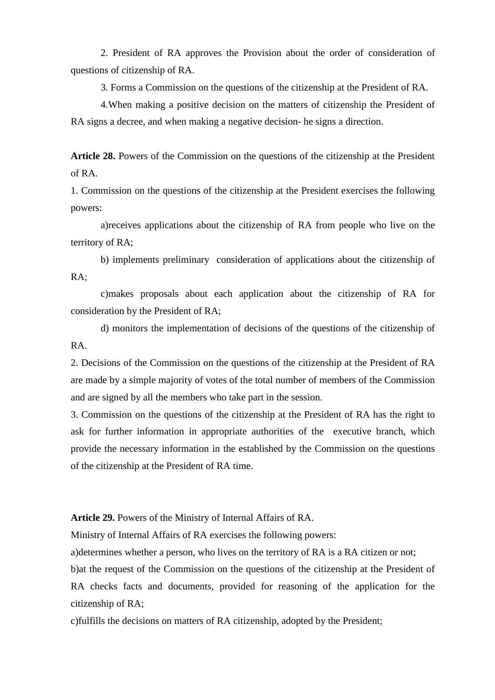2. President of RA approves the Provision about the order of consideration of questions of citizenship of RA.

3. Forms a Commission on the questions of the citizenship at the President of RA.

4.When making a positive decision on the matters of citizenship the President of RA signs a decree, and when making a negative decision- he signs a direction.

**Article 28.** Powers of the Commission on the questions of the citizenship at the President of RA.

1. Commission on the questions of the citizenship at the President exercises the following powers:

a)receives applications about the citizenship of RA from people who live on the territory of RA;

b) implements preliminary consideration of applications about the citizenship of RA;

c)makes proposals about each application about the citizenship of RA for consideration by the President of RA;

d) monitors the implementation of decisions of the questions of the citizenship of RA.

2. Decisions of the Commission on the questions of the citizenship at the President of RA are made by a simple majority of votes of the total number of members of the Commission and are signed by all the members who take part in the session.

3. Commission on the questions of the citizenship at the President of RA has the right to ask for further information in appropriate authorities of the executive branch, which provide the necessary information in the established by the Commission on the questions of the citizenship at the President of RA time.

**Article 29.** Powers of the Ministry of Internal Affairs of RA.

Ministry of Internal Affairs of RA exercises the following powers:

a)determines whether a person, who lives on the territory of RA is a RA citizen or not;

b)at the request of the Commission on the questions of the citizenship at the President of RA checks facts and documents, provided for reasoning of the application for the citizenship of RA;

c)fulfills the decisions on matters of RA citizenship, adopted by the President;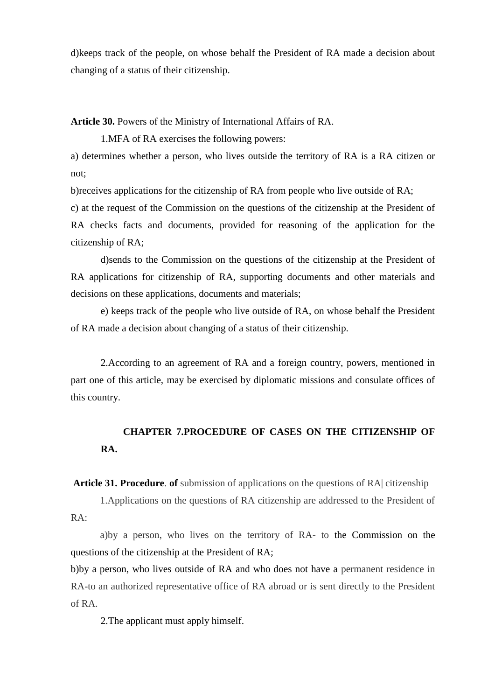d)keeps track of the people, on whose behalf the President of RA made a decision about changing of a status of their citizenship.

**Article 30.** Powers of the Ministry of International Affairs of RA.

1.MFA of RA exercises the following powers:

a) determines whether a person, who lives outside the territory of RA is a RA citizen or not;

b)receives applications for the citizenship of RA from people who live outside of RA;

c) at the request of the Commission on the questions of the citizenship at the President of RA checks facts and documents, provided for reasoning of the application for the citizenship of RA;

d)sends to the Commission on the questions of the citizenship at the President of RA applications for citizenship of RA, supporting documents and other materials and decisions on these applications, documents and materials;

e) keeps track of the people who live outside of RA, on whose behalf the President of RA made a decision about changing of a status of their citizenship.

2.According to an agreement of RA and a foreign country, powers, mentioned in part one of this article, may be exercised by diplomatic missions and consulate offices of this country.

# **CHAPTER 7.PROCEDURE OF CASES ON THE CITIZENSHIP OF RA.**

**Article 31. Procedure**. **of** submission of applications on the questions of RA| citizenship

1.Applications on the questions of RA citizenship are addressed to the President of RA:

a)by a person, who lives on the territory of RA- to the Commission on the questions of the citizenship at the President of RA;

b)by a person, who lives outside of RA and who does not have a permanent residence in RA-to an authorized representative office of RA abroad or is sent directly to the President of RA.

2.The applicant must apply himself.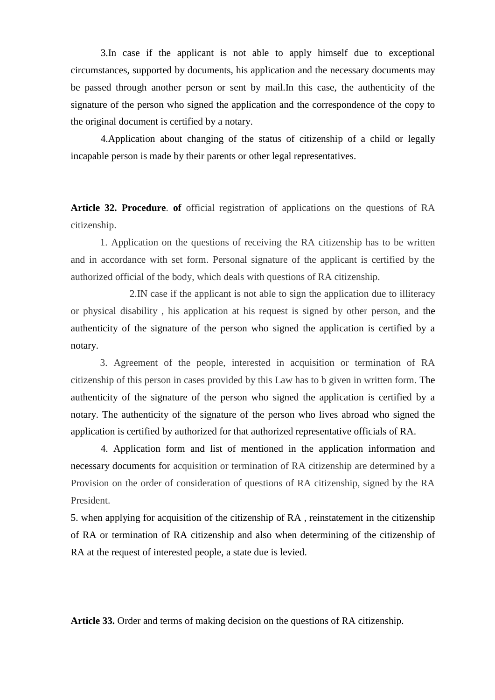3.In case if the applicant is not able to apply himself due to exceptional circumstances, supported by documents, his application and the necessary documents may be passed through another person or sent by mail.In this case, the authenticity of the signature of the person who signed the application and the correspondence of the copy to the original document is certified by a notary.

4.Application about changing of the status of citizenship of a child or legally incapable person is made by their parents or other legal representatives.

**Article 32. Procedure**. **of** official registration of applications on the questions of RA citizenship.

1. Application on the questions of receiving the RA citizenship has to be written and in accordance with set form. Personal signature of the applicant is certified by the authorized official of the body, which deals with questions of RA citizenship.

2.IN case if the applicant is not able to sign the application due to illiteracy or physical disability , his application at his request is signed by other person, and the authenticity of the signature of the person who signed the application is certified by a notary.

3. Agreement of the people, interested in acquisition or termination of RA citizenship of this person in cases provided by this Law has to b given in written form. The authenticity of the signature of the person who signed the application is certified by a notary. The authenticity of the signature of the person who lives abroad who signed the application is certified by authorized for that authorized representative officials of RA.

4. Application form and list of mentioned in the application information and necessary documents for acquisition or termination of RA citizenship are determined by a Provision on the order of consideration of questions of RA citizenship, signed by the RA President.

5. when applying for acquisition of the citizenship of RA , reinstatement in the citizenship of RA or termination of RA citizenship and also when determining of the citizenship of RA at the request of interested people, a state due is levied.

**Article 33.** Order and terms of making decision on the questions of RA citizenship.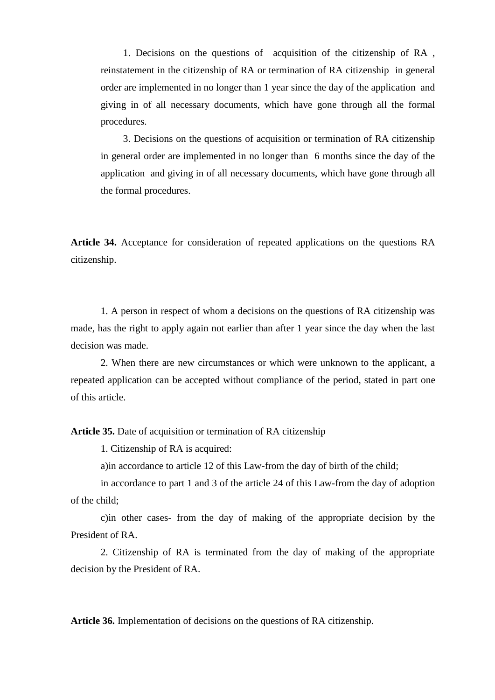1. Decisions on the questions of acquisition of the citizenship of RA , reinstatement in the citizenship of RA or termination of RA citizenship in general order are implemented in no longer than 1 year since the day of the application and giving in of all necessary documents, which have gone through all the formal procedures.

3. Decisions on the questions of acquisition or termination of RA citizenship in general order are implemented in no longer than 6 months since the day of the application and giving in of all necessary documents, which have gone through all the formal procedures.

**Article 34.** Acceptance for consideration of repeated applications on the questions RA citizenship.

1. A person in respect of whom a decisions on the questions of RA citizenship was made, has the right to apply again not earlier than after 1 year since the day when the last decision was made.

2. When there are new circumstances or which were unknown to the applicant, a repeated application can be accepted without compliance of the period, stated in part one of this article.

**Article 35.** Date of acquisition or termination of RA citizenship

1. Citizenship of RA is acquired:

a)in accordance to article 12 of this Law-from the day of birth of the child;

in accordance to part 1 and 3 of the article 24 of this Law-from the day of adoption of the child;

c)in other cases- from the day of making of the appropriate decision by the President of RA.

2. Citizenship of RA is terminated from the day of making of the appropriate decision by the President of RA.

**Article 36.** Implementation of decisions on the questions of RA citizenship.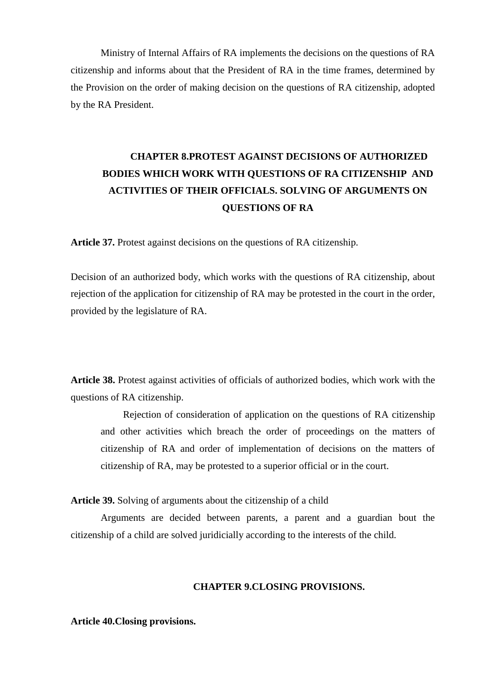Ministry of Internal Affairs of RA implements the decisions on the questions of RA citizenship and informs about that the President of RA in the time frames, determined by the Provision on the order of making decision on the questions of RA citizenship, adopted by the RA President.

# **CHAPTER 8.PROTEST AGAINST DECISIONS OF AUTHORIZED BODIES WHICH WORK WITH QUESTIONS OF RA CITIZENSHIP AND ACTIVITIES OF THEIR OFFICIALS. SOLVING OF ARGUMENTS ON QUESTIONS OF RA**

**Article 37.** Protest against decisions on the questions of RA citizenship.

Decision of an authorized body, which works with the questions of RA citizenship, about rejection of the application for citizenship of RA may be protested in the court in the order, provided by the legislature of RA.

**Article 38.** Protest against activities of officials of authorized bodies, which work with the questions of RA citizenship.

Rejection of consideration of application on the questions of RA citizenship and other activities which breach the order of proceedings on the matters of citizenship of RA and order of implementation of decisions on the matters of citizenship of RA, may be protested to a superior official or in the court.

**Article 39.** Solving of arguments about the citizenship of a child

Arguments are decided between parents, a parent and a guardian bout the citizenship of a child are solved juridicially according to the interests of the child.

### **CHAPTER 9.CLOSING PROVISIONS.**

**Article 40.Closing provisions.**